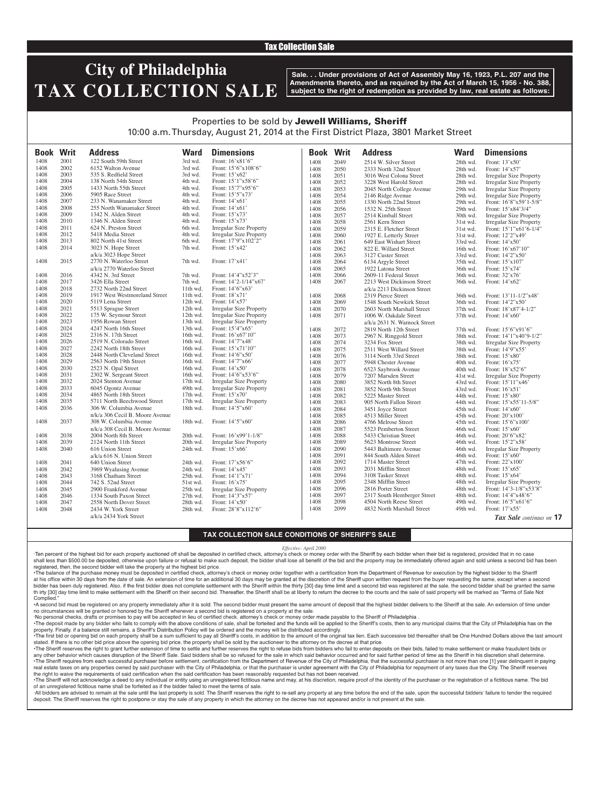### Tax Collection Sale

## **City of Philadelphia TAX COLLECTION SALE**

**Sale. . . Under provisions of Act of Assembly May 16, 1923, P.L. 207 and the Amendments thereto, and as required by the Act of March 15, 1956 - No. 388, subject to the right of redemption as provided by law, real estate as follows:**

## Properties to be sold by Jewell Williams, Sheriff

10:00 a.m. Thursday, August 21, 2014 at the First District Plaza, 3801 Market Street

| <b>Book Writ</b> |      | <b>Address</b>                  | <b>Ward</b> | <b>Dimensions</b>              | <b>Book</b> | <b>Writ</b> | <b>Address</b>               | <b>Ward</b> | <b>Dimensions</b>              |
|------------------|------|---------------------------------|-------------|--------------------------------|-------------|-------------|------------------------------|-------------|--------------------------------|
| 1408             | 2001 | 122 South 59th Street           | 3rd wd.     | Front: 16'x81'6"               | 1408        | 2049        | 2514 W. Silver Street        | 28th wd.    | Front: 13'x50'                 |
| 1408             | 2002 | 6152 Walton Avenue              | 3rd wd.     | Front: 15'6"x108'6"            | 1408        | 2050        | 2333 North 32nd Street       | 28th wd.    | Front: 14'x57'                 |
| 1408             | 2003 | 535 S. Redfield Street          | 3rd wd.     | Front: 15'x62'                 | 1408        | 2051        | 3016 West Colona Street      | 28th wd.    | <b>Irregular Size Property</b> |
| 1408             | 2004 | 138 North 54th Street           | 4th wd.     | Front: 15'1"x58'6"             | 1408        | 2052        | 3228 West Harold Street      | 28th wd.    | <b>Irregular Size Property</b> |
| 1408             | 2005 | 1433 North 55th Street          | 4th wd.     | Front: 15'7"x95'6"             | 1408        | 2053        | 2045 North College Avenue    | 29th wd.    | <b>Irregular Size Property</b> |
| 1408             | 2006 | 5905 Race Street                | 4th wd.     | Front: 15'5"x73'               | 1408        | 2054        | 2146 Ridge Avenue            | 29th wd.    | Irregular Size Property        |
| 1408             | 2007 | 233 N. Wanamaker Street         | 4th wd.     | Front: 14'x61'                 | 1408        | 2055        | 1330 North 22nd Street       | 29th wd.    | Front: 16'8"x59'1-5/8"         |
| 1408             | 2008 | 255 North Wanamaker Street      | 4th wd.     | Front: $14'x61'$               | 1408        | 2056        | 1532 N. 25th Street          | 29th wd.    | Front: 15'x84'3/4"             |
| 1408             | 2009 | 1342 N. Alden Street            | 4th wd.     | Front: 15'x73'                 | 1408        | 2057        | 2514 Kimball Street          | 30th wd.    | <b>Irregular Size Property</b> |
| 1408             | 2010 | 1346 N. Alden Street            | 4th wd.     | Front: 15'x73'                 | 1408        | 2058        | 2561 Kern Street             | 31st wd.    | <b>Irregular Size Property</b> |
| 1408             | 2011 | 624 N. Preston Street           | 6th wd.     | <b>Irregular Size Property</b> | 1408        | 2059        | 2315 E. Fletcher Street      | 31st wd.    | Front: 15'1"x61'6-1/4"         |
| 1408             | 2012 | 5418 Media Street               | 4th wd.     | <b>Irregular Size Property</b> | 1408        | 2060        | 1927 E. Letterly Street      | 31st wd.    | Front: 12'2"x49'               |
| 1408             | 2013 | 802 North 41st Street           | 6th wd.     | Front: 17'9"x102'2"            | 1408        | 2061        | 649 East Wishart Street      | 33rd wd.    | Front: 14'x50'                 |
| 1408             | 2014 | 3023 N. Hope Street             | 7th wd.     | Front: 15'x42'                 | 1408        | 2062        | 822 E. Willard Street        | 16th wd.    | Front: 16'x67'10"              |
|                  |      | a/k/a 3023 Hope Street          |             |                                | 1408        | 2063        | 3127 Custer Street           | 33rd wd.    | Front: 14'2"x50'               |
| 1408             | 2015 | 2770 N. Waterloo Street         | 7th wd.     | Front: 17'x41'                 | 1408        | 2064        | 6134 Argyle Street           | 35th wd.    | Front: 15'x107'                |
|                  |      | a/k/a 2770 Waterloo Street      |             |                                | 1408        | 2065        | 1922 Latona Street           | 36th wd.    | Front: 15'x74'                 |
| 1408             | 2016 | 4342 N. 3rd Street              | 7th wd.     | Front: 14'4"x52'3"             | 1408        | 2066        | 2609-11 Federal Street       | 36th wd.    | Front: 32'x76'                 |
| 1408             | 2017 | 3426 Ella Street                | 7th wd.     | Front: 14'2-1/14"x67'          | 1408        | 2067        | 2213 West Dickinson Street   | 36th wd.    | Front: 14'x62'                 |
| 1408             | 2018 | 2732 North 22nd Street          | 11th wd.    | Front: 14'6"x63                |             |             | a/k/a 2213 Dickinson Street  |             |                                |
| 1408             | 2019 | 1917 West Westmoreland Street   | 11th wd.    | Front: 18'x71'                 | 1408        | 2068        | 2319 Pierce Street           | 36th wd.    | Front: 13'11-1/2"x48'          |
| 1408             | 2020 | 5119 Lena Street                | 12th wd.    | Front: 14'x57'                 | 1408        | 2069        | 1548 South Newkirk Street    | 36th wd.    | Front: 14'2"x50'               |
| 1408             | 2021 | 5513 Sprague Street             | 12th wd.    | <b>Irregular Size Property</b> | 1408        | 2070        | 2603 North Marshall Street   | 37th wd.    | Front: 18'x87'4-1/2"           |
| 1408             | 2022 | 175 W. Seymour Street           | $12th$ wd.  | Irregular Size Property        | 1408        | 2071        | 1006 W. Oakdale Street       | 37th wd.    | Front: 14'x60'                 |
| 1408             | 2023 | 1956 Rowan Street               | 13th wd.    | Irregular Size Property        |             |             | a/k/a 2631 N. Warnock Street |             |                                |
| 1408             | 2024 | 4247 North 16th Street          | 13th wd.    | Front: 15'4"x65'               | 1408        | 2072        | 2819 North 12th Street       | 37th wd.    | Front: 15'6"x91'6"             |
| 1408             | 2025 | 2316 N. 17th Street             | 16th wd.    | Front: 16'x67'10"              | 1408        | 2073        | 2967 N. Ringgold Street      | 38th wd.    | Front: $14'1''x40'9-1/2"$      |
| 1408             | 2026 | 2519 N. Colorado Street         | 16th wd.    | Front: 14'7"x48'               | 1408        | 2074        | 3234 Fox Street              | 38th wd.    | <b>Irregular Size Property</b> |
| 1408             | 2027 | 2242 North 18th Street          | 16th wd.    | Front: $15'x71'10''$           | 1408        | 2075        | 2511 West Willard Street     | 38th wd.    | Front: 14'9"x55'               |
| 1408             | 2028 | 2448 North Cleveland Street     | 16th wd.    | Front: 14'6"x50"               | 1408        | 2076        | 3114 North 33rd Street       | 38th wd.    | Front: 15'x80'                 |
| 1408             | 2029 | 2563 North 19th Street          | $16th$ wd.  | Front: 14'7"x66'               | 1408        | 2077        | 5948 Chester Avenue          | 40th wd.    | Front: 16'x75'                 |
| 1408             | 2030 | 2523 N. Opal Street             | 16th wd.    | Front: 14'x50'                 | 1408        | 2078        | 6523 Saybrook Avenue         | 40th wd.    | Front: 18'x52'6"               |
| 1408             | 2031 | 2302 W. Sergeant Street         | 16th wd.    | Front: 14'6"x53'6"             | 1408        | 2079        | 7207 Marsden Street          | 41st wd.    | <b>Irregular Size Property</b> |
| 1408             | 2032 | 2024 Stenton Avenue             | $17th$ wd.  | <b>Irregular Size Property</b> | 1408        | 2080        | 3852 North 8th Street        | 43rd wd.    | Front: 15'11"x46'              |
| 1408             | 2033 | 6045 Ogontz Avenue              | 49th wd.    | <b>Irregular Size Property</b> | 1408        | 2081        | 3852 North 9th Street        | 43rd wd.    | Front: $16'x51'$               |
| 1408             | 2034 | 4865 North 18th Street          | 17th wd.    | Front: 15'x70'                 | 1408        | 2082        | 5225 Master Street           | 44th wd.    | Front: 15'x80'                 |
| 1408             | 2035 | 5711 North Beechwood Street     | 17th wd.    | <b>Irregular Size Property</b> | 1408        | 2083        | 905 North Fallon Street      | 44th wd.    | Front: 15'x55'11-5/8"          |
| 1408             | 2036 | 306 W. Columbia Avenue          | 18th wd.    | Front: 14'5"x60"               | 1408        | 2084        | 3451 Joyce Street            | 45th wd.    | Front: 14'x60'                 |
|                  |      | n/k/a 306 Cecil B. Moore Avenue |             |                                | 1408        | 2085        | 4513 Miller Street           | 45th wd.    | Front: 20'x100'                |
| 1408             | 2037 | 308 W. Columbia Avenue          | 18th wd.    | Front: 14'5"x60                | 1408        | 2086        | 4766 Melrose Street          | 45th wd.    | Front: 15'6"x100"              |
|                  |      | n/k/a 308 Cecil B. Moore Avenue |             |                                | 1408        | 2087        | 5523 Pemberton Street        | 46th wd.    | Front: 15'x60'                 |
| 1408             | 2038 | 2004 North 8th Street           | 20th wd.    | Front: 16'x99'1-1/8"           | 1408        | 2088        | 5433 Christian Street        | 46th wd.    | Front: 20'6"x82'               |
| 1408             | 2039 | 2124 North 11th Street          | 20th wd.    | <b>Irregular Size Property</b> | 1408        | 2089        | 5623 Montrose Street         | 46th wd.    | Front: 15'2"x58'               |
| 1408             | 2040 | 616 Union Street                | 24th wd.    | Front: 15'x66'                 | 1408        | 2090        | 5443 Baltimore Avenue        | 46th wd.    | <b>Irregular Size Property</b> |
|                  |      | a/k/a 616 N. Union Street       |             |                                | 1408        | 2091        | 844 South Alden Street       | 46th wd.    | Front: 15'x60'                 |
| 1408             | 2041 | 640 Union Street                | 24th wd.    | Front: 17'x56'6"               | 1408        | 2092        | 1714 Master Street           | 47th wd.    | Front: 22'x100'                |
| 1408             | 2042 | 3969 Wyalusing Avenue           | 24th wd.    | Front: 14'x45'                 | 1408        | 2093        | 2031 Mifflin Street          | 48th wd.    | Front: 15'x65'                 |
| 1408             | 2043 | 3168 Chatham Street             | $25th$ wd.  | Front: 14'1"x71'               | 1408        | 2094        | 3108 Tasker Street           | 48th wd.    | Front: 15'x64'                 |
| 1408             | 2044 | 742 S. 52nd Street              | 51st wd.    | Front: 16'x75'                 | 1408        | 2095        | 2348 Mifflin Street          | 48th wd.    | <b>Irregular Size Property</b> |
| 1408             | 2045 | 2900 Frankford Avenue           | 25th wd.    | <b>Irregular Size Property</b> | 1408        | 2096        | 2816 Porter Street           | 48th wd.    | Front: 14'3-1/8"x53'8"         |
| 1408             | 2046 | 1334 South Paxon Street         | 27th wd.    | Front: 14'3"x57'               | 1408        | 2097        | 2317 South Hemberger Street  | 48th wd.    | Front: 14'4"x48'6"             |
| 1408             | 2047 | 2558 North Dover Street         | 28th wd.    | Front: 14'x50'                 | 1408        | 2098        | 4504 North Reese Street      | 49th wd.    | Front: 16'5"x61'6"             |
| 1408             | 2048 | 2434 W. York Street             | 28th wd.    | Front: 28'8"x112'6"            | 1408        | 2099        | 4832 North Marshall Street   | 49th wd.    | Front: 17'x55'                 |
|                  |      | a/k/a 2434 York Street          |             |                                |             |             |                              |             | Tax Sale continues on 17       |

#### **TAX COLLECTION SALE CONDITIONS OF SHERIFF'S SALE**

*Effective: April 2000*

·Ten percent of the highest bid for each property auctioned off shall be deposited in certified check, attorney's check or money order with the Sheriff by each bidder when their bid is registered, provided that in no case shall less than \$500.00 be deposited, otherwise upon failure or refusal to make such deposit, the bidder shall lose all benefit of the bid and the property may be immediately offered again and sold unless a second bid has registered, then, the second bidder will take the property at the highest bid price.

•The balance of the purchase money must be deposited in certified check, attorney's check or money order together with a certification from the Department of Revenue for execution by the highest bidder to the Sheriff at his office within 30 days from the date of sale. An extension of time for an additional 30 days may be granted at the discretion of the Sheriff upon written request from the buyer requesting the same, except when a seco bidder has been duly registered. Also, if the first bidder does not complete settlement with the Sheriff within the thirty [30] day time limit and a second bid was registered at the sale, the second bidder shall be granted th irty [30] day time limit to make settlement with the Sheriff on their second bid. Thereafter, the Sheriff shall be at liberty to return the decree to the courts and the sale of said property will be marked as "Terms of **Complied** 

•A second bid must be registered on any property immediately after it is sold. The second bidder must present the same amount of deposit that the highest bidder delivers to the Sheriff at the sale. An extension of time under no circumstances will be granted or honored by the Sheriff whenever a second bid is registered on a property at the sale.

·No personal checks, drafts or promises to pay will be accepted in lieu of certified check, attorney's check or money order made payable to the Sheriff of Philadelphia .

The deposit made by any bidder who fails to comply with the above conditions of sale, shall be forteited and the funds will be applied to the Sheriff's costs, then to any municipal claims that the City of Philadelphia has property. Finally, if a balance still remains, a Sheriff's Distribution Policy will be ordered and the money will be distributed accordingly.

The first bid or opening bid on each property shall be a sum sufficient to pay all Sheriff's costs, in addition to the amount of the original tax lien. Each successive bid thereafter shall be One Hundred Dollars above the stated. If there is no other bid price above the opening bid price, the property shall be sold by the auctioneer to the attorney on the decree at that price. . The Sheriff reserves the right to grant further extension of time to settle and further reserves the right to refuse bids from bidders who fail to enter deposits on their bids, failed to make settlement or make fraudulen

any other behavior which causes disruption of the Sheriff Sale. Said bidders shall be so refused for the sale in which said behavior occurred and for said further period of time as the Sheriff in his discretion shall deter The Sheriff requires from each successful purchaser before settlement, certification from the Department of Revenue of the City of Philadelphia, that the successful purchaser is not more than one [1] year delinquent in pay real estate taxes on any properties owned by said purchaser with the City of Philadelphia, or that the purchaser is under agreement with the City of Philadelphia for repayment of any taxes due the City. The Sheriff reserves the right to waive the requirements of said certification when the said certification has been reasonably requested but has not been received.

. The Sheriff will not acknowledge a deed to any individual or entity using an unregistered fictitious name and may, at his discretion, require proof of the identity of the purchaser or the registration of a fictitious nam of an unregistered fictitious name shall be forfeited as if the bidder failed to meet the terms of sale. All bidders are advised to remain at the sale until the last property is sold. The Sheriff reserves the right to re-sell any property at any time before the end of the sale, upon the successful bidders' failure to tender t

deposit. The Sheriff reserves the right to postpone or stay the sale of any property in which the attorney on the decree has not appeared and/or is not present at the sale.